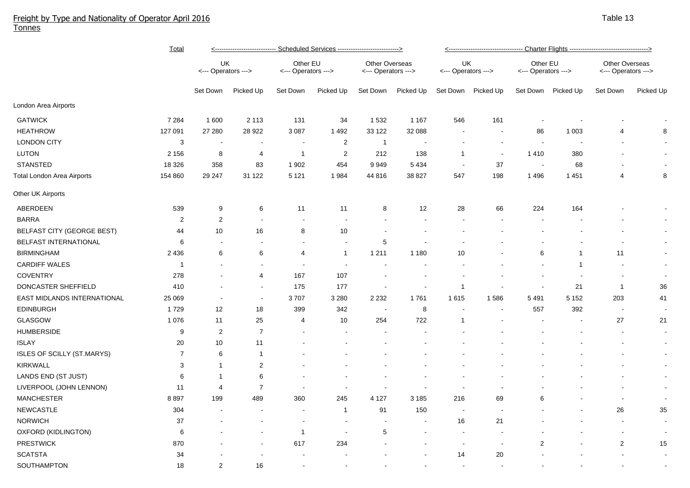## Freight by Type and Nationality of Operator April 2016 Tonnes

|                                   | <u>Total</u>   | <u>&lt;---------------------------- Scheduled Services ----------------------------&gt;</u> |                          |                                 |                |                                       |                          |                           |                    |                                 |                |                                       |                |  |
|-----------------------------------|----------------|---------------------------------------------------------------------------------------------|--------------------------|---------------------------------|----------------|---------------------------------------|--------------------------|---------------------------|--------------------|---------------------------------|----------------|---------------------------------------|----------------|--|
|                                   |                | UK<br><--- Operators --->                                                                   |                          | Other EU<br><--- Operators ---> |                | Other Overseas<br><--- Operators ---> |                          | UK<br><--- Operators ---> |                    | Other EU<br><--- Operators ---> |                | Other Overseas<br><--- Operators ---> |                |  |
|                                   |                | Set Down                                                                                    | Picked Up                | Set Down                        | Picked Up      | Set Down                              | Picked Up                |                           | Set Down Picked Up | Set Down                        | Picked Up      | Set Down                              | Picked Up      |  |
| London Area Airports              |                |                                                                                             |                          |                                 |                |                                       |                          |                           |                    |                                 |                |                                       |                |  |
| <b>GATWICK</b>                    | 7 2 8 4        | 1600                                                                                        | 2 1 1 3                  | 131                             | 34             | 1 5 3 2                               | 1 1 6 7                  | 546                       | 161                | $\overline{\phantom{a}}$        |                |                                       |                |  |
| <b>HEATHROW</b>                   | 127 091        | 27 280                                                                                      | 28 9 22                  | 3 0 8 7                         | 1492           | 33 122                                | 32 088                   | $\sim$                    | $\sim$             | 86                              | 1 0 0 3        | 4                                     | 8              |  |
| <b>LONDON CITY</b>                | 3              | $\sim$                                                                                      | $\sim$                   | $\blacksquare$                  | $\overline{c}$ | $\overline{1}$                        | $\overline{\phantom{a}}$ |                           | $\sim$             | $\sim$                          | $\sim$         |                                       |                |  |
| <b>LUTON</b>                      | 2 1 5 6        | 8                                                                                           | 4                        | $\mathbf{1}$                    | $\overline{2}$ | 212                                   | 138                      | 1                         | $\sim$             | 1410                            | 380            |                                       | $\sim$         |  |
| <b>STANSTED</b>                   | 18 3 26        | 358                                                                                         | 83                       | 1 902                           | 454            | 9949                                  | 5 4 3 4                  | $\blacksquare$            | 37                 | $\sim$                          | 68             |                                       |                |  |
| Total London Area Airports        | 154 860        | 29 247                                                                                      | 31 122                   | 5 1 2 1                         | 1984           | 44 816                                | 38 827                   | 547                       | 198                | 1 4 9 6                         | 1 4 5 1        | 4                                     | 8              |  |
| Other UK Airports                 |                |                                                                                             |                          |                                 |                |                                       |                          |                           |                    |                                 |                |                                       |                |  |
| ABERDEEN                          | 539            | 9                                                                                           | 6                        | 11                              | 11             | 8                                     | 12                       | 28                        | 66                 | 224                             | 164            |                                       |                |  |
| <b>BARRA</b>                      | 2              | $\mathbf{2}$                                                                                | $\blacksquare$           | $\blacksquare$                  |                |                                       |                          |                           |                    |                                 |                |                                       | $\sim$         |  |
| <b>BELFAST CITY (GEORGE BEST)</b> | 44             | 10                                                                                          | $16\,$                   | 8                               | 10             |                                       |                          |                           |                    |                                 |                |                                       | $\sim$         |  |
| BELFAST INTERNATIONAL             | 6              |                                                                                             |                          |                                 |                | 5                                     |                          |                           |                    |                                 |                |                                       | $\sim$         |  |
| <b>BIRMINGHAM</b>                 | 2 4 3 6        | 6                                                                                           | 6                        | 4                               | $\overline{1}$ | 1 2 1 1                               | 1 1 8 0                  | 10                        |                    | 6                               | $\overline{1}$ | 11                                    | $\sim$         |  |
| <b>CARDIFF WALES</b>              | $\mathbf{1}$   |                                                                                             | $\blacksquare$           |                                 |                |                                       |                          |                           |                    |                                 | $\overline{1}$ |                                       | $\blacksquare$ |  |
| <b>COVENTRY</b>                   | 278            |                                                                                             | $\overline{4}$           | 167                             | 107            |                                       |                          |                           |                    |                                 |                | $\blacksquare$                        | $\sim$         |  |
| DONCASTER SHEFFIELD               | 410            |                                                                                             | $\overline{\phantom{a}}$ | 175                             | 177            |                                       |                          | $\mathbf{1}$              |                    |                                 | 21             | $\mathbf{1}$                          | $36\,$         |  |
| EAST MIDLANDS INTERNATIONAL       | 25 069         |                                                                                             | $\blacksquare$           | 3707                            | 3 2 8 0        | 2 2 3 2                               | 1761                     | 1615                      | 1586               | 5 4 9 1                         | 5 1 5 2        | 203                                   | 41             |  |
| <b>EDINBURGH</b>                  | 1729           | 12                                                                                          | 18                       | 399                             | 342            |                                       | 8                        | $\sim$                    | $\overline{a}$     | 557                             | 392            | $\overline{\phantom{a}}$              | $\sim$         |  |
| <b>GLASGOW</b>                    | 1 0 7 6        | 11                                                                                          | 25                       | $\overline{4}$                  | 10             | 254                                   | 722                      | $\overline{1}$            |                    |                                 |                | 27                                    | 21             |  |
| <b>HUMBERSIDE</b>                 | 9              | 2                                                                                           | $\overline{7}$           |                                 |                |                                       |                          |                           |                    |                                 |                | $\blacksquare$                        | $\sim$         |  |
| <b>ISLAY</b>                      | 20             | 10                                                                                          | 11                       |                                 |                |                                       |                          |                           |                    |                                 |                | $\blacksquare$                        | $\sim$         |  |
| ISLES OF SCILLY (ST.MARYS)        | $\overline{7}$ | 6                                                                                           | $\mathbf{1}$             |                                 |                |                                       |                          |                           |                    |                                 |                | ۰                                     | $\sim$         |  |
| <b>KIRKWALL</b>                   | 3              | 1                                                                                           | $\overline{2}$           |                                 |                |                                       |                          |                           |                    |                                 |                |                                       | $\sim$         |  |
| LANDS END (ST JUST)               | 6              | -1                                                                                          | $\,6$                    |                                 |                |                                       |                          |                           |                    |                                 |                |                                       | $\sim$         |  |
| LIVERPOOL (JOHN LENNON)           | 11             | 4                                                                                           | $\overline{7}$           |                                 |                |                                       |                          |                           |                    |                                 |                |                                       | $\sim$         |  |
| <b>MANCHESTER</b>                 | 8897           | 199                                                                                         | 489                      | 360                             | 245            | 4 1 2 7                               | 3 1 8 5                  | 216                       | 69                 | 6                               |                | $\sim$                                | $\sim$         |  |
| <b>NEWCASTLE</b>                  | 304            |                                                                                             |                          |                                 | -1             | 91                                    | 150                      |                           |                    |                                 |                | 26                                    | 35             |  |
| <b>NORWICH</b>                    | 37             |                                                                                             |                          |                                 |                |                                       | $\blacksquare$           | 16                        | 21                 |                                 |                | $\blacksquare$                        | $\sim$         |  |
| OXFORD (KIDLINGTON)               | 6              |                                                                                             |                          | $\mathbf{1}$                    |                | 5                                     |                          | $\blacksquare$            |                    |                                 |                | $\sim$                                | $\blacksquare$ |  |
| <b>PRESTWICK</b>                  | 870            |                                                                                             |                          | 617                             | 234            |                                       |                          |                           | $\sim$             | $\overline{2}$                  |                | $\overline{c}$                        | 15             |  |
| <b>SCATSTA</b>                    | 34             |                                                                                             |                          |                                 |                |                                       |                          | 14                        | 20                 |                                 |                |                                       | $\sim$         |  |
| SOUTHAMPTON                       | 18             | 2                                                                                           | 16                       |                                 |                |                                       |                          |                           |                    |                                 |                |                                       |                |  |